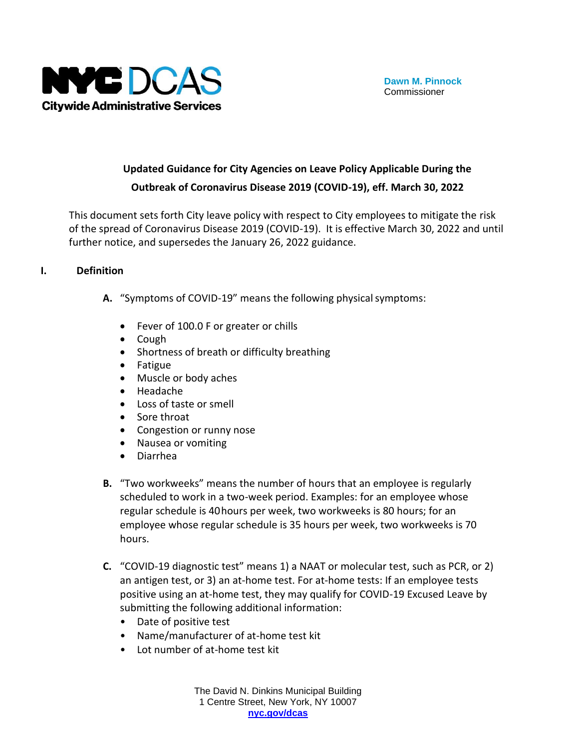

# **Updated Guidance for City Agencies on Leave Policy Applicable During the Outbreak of Coronavirus Disease 2019 (COVID-19), eff. March 30, 2022**

This document sets forth City leave policy with respect to City employees to mitigate the risk of the spread of Coronavirus Disease 2019 (COVID-19). It is effective March 30, 2022 and until further notice, and supersedes the January 26, 2022 guidance.

#### **I. Definition**

- A. "Symptoms of COVID-19" means the following physical symptoms:
	- Fever of 100.0 F or greater or chills
	- Cough
	- Shortness of breath or difficulty breathing
	- Fatigue
	- Muscle or body aches
	- Headache
	- Loss of taste or smell
	- Sore throat
	- Congestion or runny nose
	- Nausea or vomiting
	- Diarrhea
- **B.** "Two workweeks" means the number of hours that an employee is regularly scheduled to work in a two-week period. Examples: for an employee whose regular schedule is 40hours per week, two workweeks is 80 hours; for an employee whose regular schedule is 35 hours per week, two workweeks is 70 hours.
- **C.** "COVID-19 diagnostic test" means 1) a NAAT or molecular test, such as PCR, or 2) an antigen test, or 3) an at-home test. For at-home tests: If an employee tests positive using an at-home test, they may qualify for COVID-19 Excused Leave by submitting the following additional information:
	- Date of positive test
	- Name/manufacturer of at-home test kit
	- Lot number of at-home test kit

The David N. Dinkins Municipal Building 1 Centre Street, New York, NY 10007 **[nyc.gov/dcas](http://www.nyc.gov/dcas)**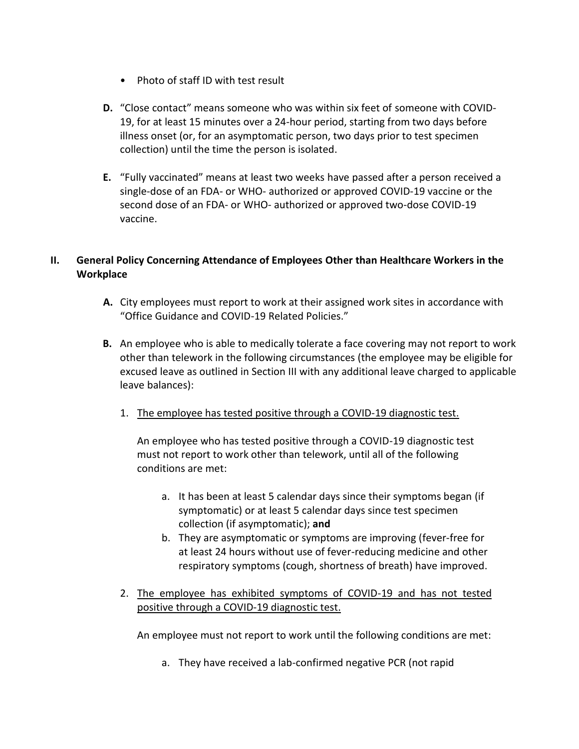- Photo of staff ID with test result
- **D.** "Close contact" means someone who was within six feet of someone with COVID-19, for at least 15 minutes over a 24-hour period, starting from two days before illness onset (or, for an asymptomatic person, two days prior to test specimen collection) until the time the person is isolated.
- **E.** "Fully vaccinated" means at least two weeks have passed after a person received a single-dose of an FDA- or WHO- authorized or approved COVID-19 vaccine or the second dose of an FDA- or WHO- authorized or approved two-dose COVID-19 vaccine.

# **II. General Policy Concerning Attendance of Employees Other than Healthcare Workers in the Workplace**

- **A.** City employees must report to work at their assigned work sites in accordance with "Office Guidance and COVID-19 Related Policies."
- **B.** An employee who is able to medically tolerate a face covering may not report to work other than telework in the following circumstances (the employee may be eligible for excused leave as outlined in Section III with any additional leave charged to applicable leave balances):
	- 1. The employee has tested positive through a COVID-19 diagnostic test.

An employee who has tested positive through a COVID-19 diagnostic test must not report to work other than telework, until all of the following conditions are met:

- a. It has been at least 5 calendar days since their symptoms began (if symptomatic) or at least 5 calendar days since test specimen collection (if asymptomatic); **and**
- b. They are asymptomatic or symptoms are improving (fever-free for at least 24 hours without use of fever-reducing medicine and other respiratory symptoms (cough, shortness of breath) have improved.
- 2. The employee has exhibited symptoms of COVID-19 and has not tested positive through a COVID-19 diagnostic test.

An employee must not report to work until the following conditions are met:

a. They have received a lab-confirmed negative PCR (not rapid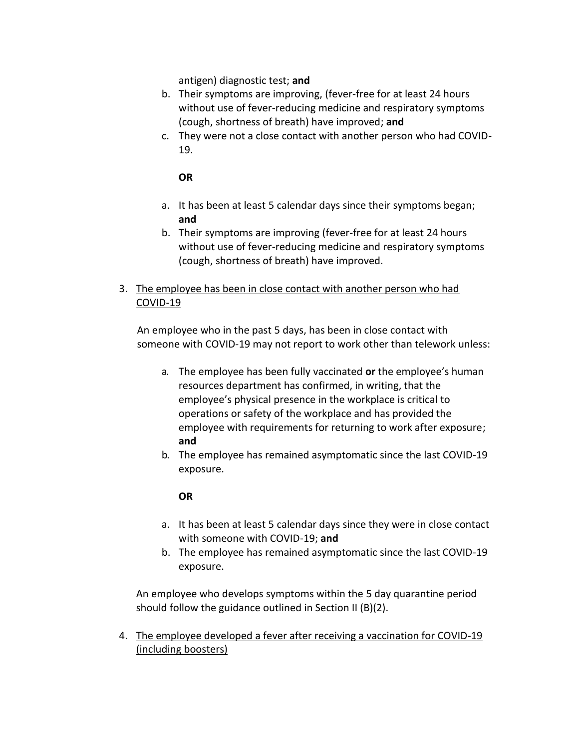antigen) diagnostic test; **and**

- b. Their symptoms are improving, (fever-free for at least 24 hours without use of fever-reducing medicine and respiratory symptoms (cough, shortness of breath) have improved; **and**
- c. They were not a close contact with another person who had COVID-19.

## **OR**

- a. It has been at least 5 calendar days since their symptoms began; **and**
- b. Their symptoms are improving (fever-free for at least 24 hours without use of fever-reducing medicine and respiratory symptoms (cough, shortness of breath) have improved.

# 3. The employee has been in close contact with another person who had COVID-19

An employee who in the past 5 days, has been in close contact with someone with COVID-19 may not report to work other than telework unless:

- a. The employee has been fully vaccinated **or** the employee's human resources department has confirmed, in writing, that the employee's physical presence in the workplace is critical to operations or safety of the workplace and has provided the employee with requirements for returning to work after exposure; **and**
- b. The employee has remained asymptomatic since the last COVID-19 exposure.

## **OR**

- a. It has been at least 5 calendar days since they were in close contact with someone with COVID-19; **and**
- b. The employee has remained asymptomatic since the last COVID-19 exposure.

An employee who develops symptoms within the 5 day quarantine period should follow the guidance outlined in Section II (B)(2).

4. The employee developed a fever after receiving a vaccination for COVID-19 (including boosters)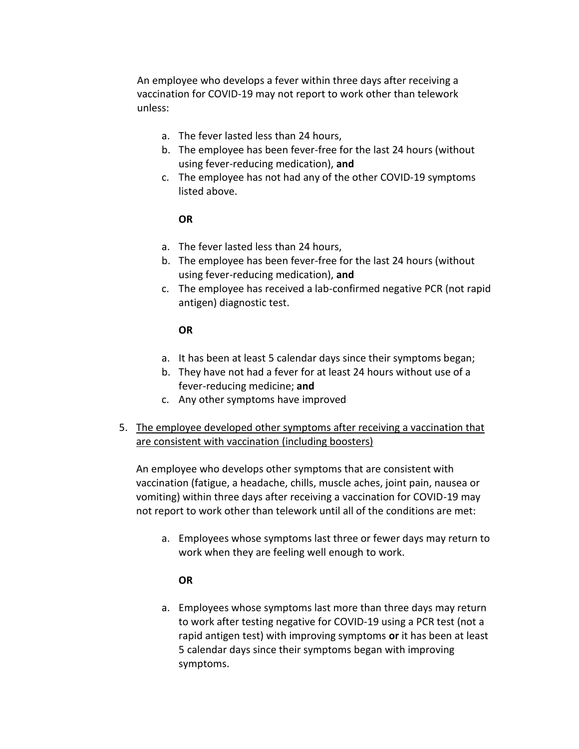An employee who develops a fever within three days after receiving a vaccination for COVID-19 may not report to work other than telework unless:

- a. The fever lasted less than 24 hours,
- b. The employee has been fever-free for the last 24 hours (without using fever-reducing medication), **and**
- c. The employee has not had any of the other COVID-19 symptoms listed above.

#### **OR**

- a. The fever lasted less than 24 hours,
- b. The employee has been fever-free for the last 24 hours (without using fever-reducing medication), **and**
- c. The employee has received a lab-confirmed negative PCR (not rapid antigen) diagnostic test.

#### **OR**

- a. It has been at least 5 calendar days since their symptoms began;
- b. They have not had a fever for at least 24 hours without use of a fever-reducing medicine; **and**
- c. Any other symptoms have improved
- 5. The employee developed other symptoms after receiving a vaccination that are consistent with vaccination (including boosters)

An employee who develops other symptoms that are consistent with vaccination (fatigue, a headache, chills, muscle aches, joint pain, nausea or vomiting) within three days after receiving a vaccination for COVID-19 may not report to work other than telework until all of the conditions are met:

a. Employees whose symptoms last three or fewer days may return to work when they are feeling well enough to work.

## **OR**

a. Employees whose symptoms last more than three days may return to work after testing negative for COVID-19 using a PCR test (not a rapid antigen test) with improving symptoms **or** it has been at least 5 calendar days since their symptoms began with improving symptoms.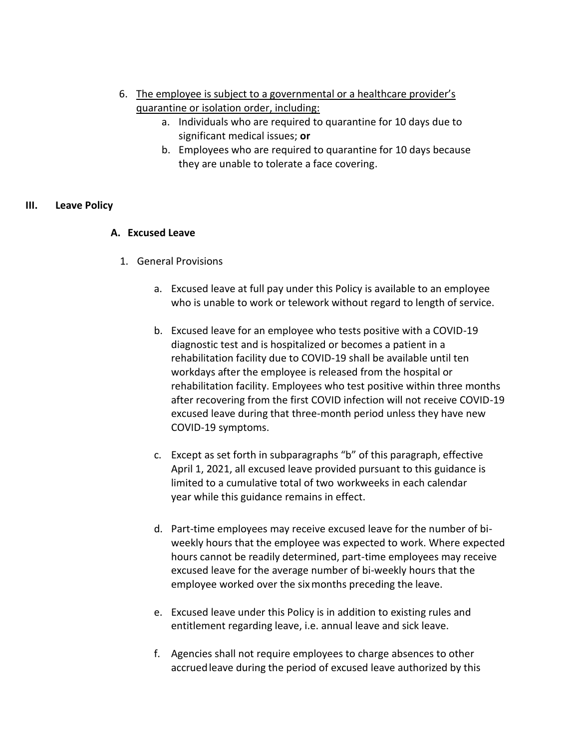- 6. The employee is subject to a governmental or a healthcare provider's quarantine or isolation order, including:
	- a. Individuals who are required to quarantine for 10 days due to significant medical issues; **or**
	- b. Employees who are required to quarantine for 10 days because they are unable to tolerate a face covering.

#### **III. Leave Policy**

#### **A. Excused Leave**

- 1. General Provisions
	- a. Excused leave at full pay under this Policy is available to an employee who is unable to work or telework without regard to length of service.
	- b. Excused leave for an employee who tests positive with a COVID-19 diagnostic test and is hospitalized or becomes a patient in a rehabilitation facility due to COVID-19 shall be available until ten workdays after the employee is released from the hospital or rehabilitation facility. Employees who test positive within three months after recovering from the first COVID infection will not receive COVID-19 excused leave during that three-month period unless they have new COVID-19 symptoms.
	- c. Except as set forth in subparagraphs "b" of this paragraph, effective April 1, 2021, all excused leave provided pursuant to this guidance is limited to a cumulative total of two workweeks in each calendar year while this guidance remains in effect.
	- d. Part-time employees may receive excused leave for the number of biweekly hours that the employee was expected to work. Where expected hours cannot be readily determined, part-time employees may receive excused leave for the average number of bi-weekly hours that the employee worked over the sixmonths preceding the leave.
	- e. Excused leave under this Policy is in addition to existing rules and entitlement regarding leave, i.e. annual leave and sick leave.
	- f. Agencies shall not require employees to charge absences to other accruedleave during the period of excused leave authorized by this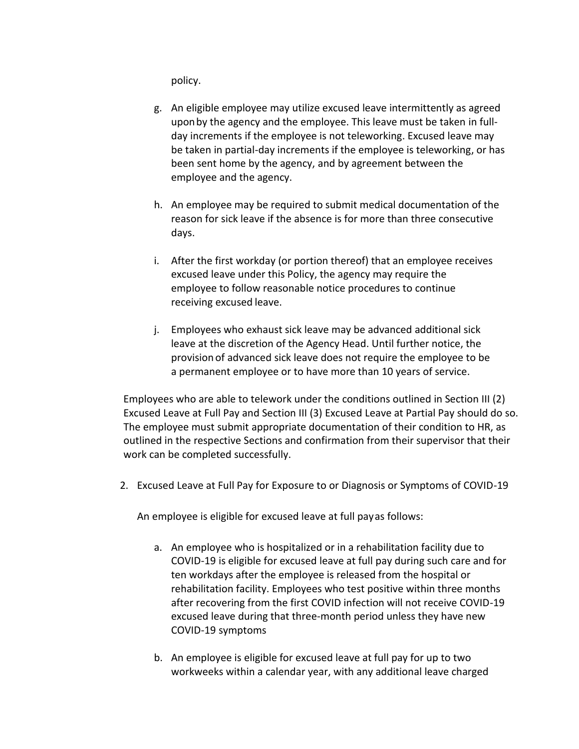policy.

- g. An eligible employee may utilize excused leave intermittently as agreed uponby the agency and the employee. This leave must be taken in fullday increments if the employee is not teleworking. Excused leave may be taken in partial-day increments if the employee is teleworking, or has been sent home by the agency, and by agreement between the employee and the agency.
- h. An employee may be required to submit medical documentation of the reason for sick leave if the absence is for more than three consecutive days.
- i. After the first workday (or portion thereof) that an employee receives excused leave under this Policy, the agency may require the employee to follow reasonable notice procedures to continue receiving excused leave.
- j. Employees who exhaust sick leave may be advanced additional sick leave at the discretion of the Agency Head. Until further notice, the provision of advanced sick leave does not require the employee to be a permanent employee or to have more than 10 years of service.

Employees who are able to telework under the conditions outlined in Section III (2) Excused Leave at Full Pay and Section III (3) Excused Leave at Partial Pay should do so. The employee must submit appropriate documentation of their condition to HR, as outlined in the respective Sections and confirmation from their supervisor that their work can be completed successfully.

2. Excused Leave at Full Pay for Exposure to or Diagnosis or Symptoms of COVID-19

An employee is eligible for excused leave at full payas follows:

- a. An employee who is hospitalized or in a rehabilitation facility due to COVID-19 is eligible for excused leave at full pay during such care and for ten workdays after the employee is released from the hospital or rehabilitation facility. Employees who test positive within three months after recovering from the first COVID infection will not receive COVID-19 excused leave during that three-month period unless they have new COVID-19 symptoms
- b. An employee is eligible for excused leave at full pay for up to two workweeks within a calendar year, with any additional leave charged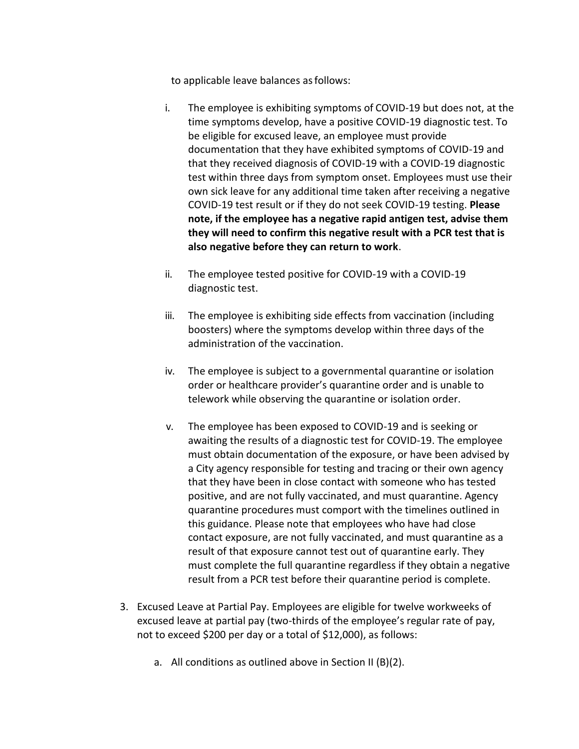to applicable leave balances asfollows:

- i. The employee is exhibiting symptoms of COVID-19 but does not, at the time symptoms develop, have a positive COVID-19 diagnostic test. To be eligible for excused leave, an employee must provide documentation that they have exhibited symptoms of COVID-19 and that they received diagnosis of COVID-19 with a COVID-19 diagnostic test within three days from symptom onset. Employees must use their own sick leave for any additional time taken after receiving a negative COVID-19 test result or if they do not seek COVID-19 testing. **Please note, if the employee has a negative rapid antigen test, advise them they will need to confirm this negative result with a PCR test that is also negative before they can return to work**.
- ii. The employee tested positive for COVID-19 with a COVID-19 diagnostic test.
- iii. The employee is exhibiting side effects from vaccination (including boosters) where the symptoms develop within three days of the administration of the vaccination.
- iv. The employee is subject to a governmental quarantine or isolation order or healthcare provider's quarantine order and is unable to telework while observing the quarantine or isolation order.
- v. The employee has been exposed to COVID-19 and is seeking or awaiting the results of a diagnostic test for COVID-19. The employee must obtain documentation of the exposure, or have been advised by a City agency responsible for testing and tracing or their own agency that they have been in close contact with someone who has tested positive, and are not fully vaccinated, and must quarantine. Agency quarantine procedures must comport with the timelines outlined in this guidance. Please note that employees who have had close contact exposure, are not fully vaccinated, and must quarantine as a result of that exposure cannot test out of quarantine early. They must complete the full quarantine regardless if they obtain a negative result from a PCR test before their quarantine period is complete.
- 3. Excused Leave at Partial Pay. Employees are eligible for twelve workweeks of excused leave at partial pay (two-thirds of the employee's regular rate of pay, not to exceed \$200 per day or a total of \$12,000), as follows:
	- a. All conditions as outlined above in Section II (B)(2).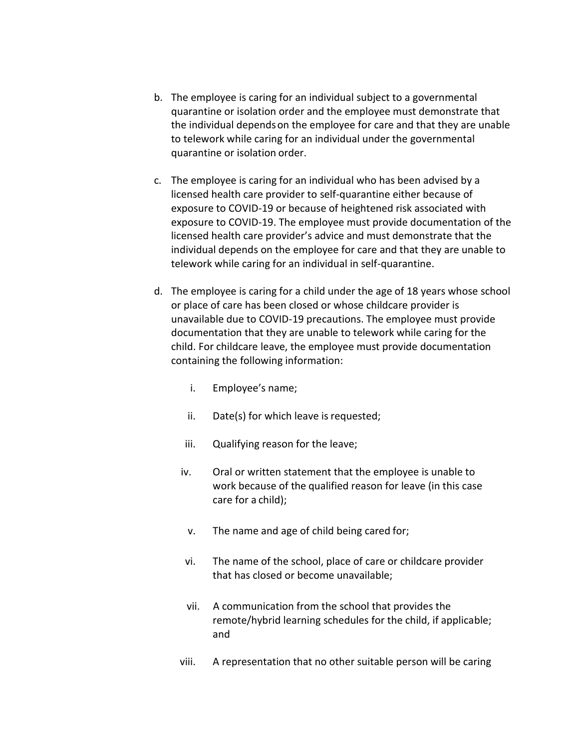- b. The employee is caring for an individual subject to a governmental quarantine or isolation order and the employee must demonstrate that the individual dependson the employee for care and that they are unable to telework while caring for an individual under the governmental quarantine or isolation order.
- c. The employee is caring for an individual who has been advised by a licensed health care provider to self-quarantine either because of exposure to COVID-19 or because of heightened risk associated with exposure to COVID-19. The employee must provide documentation of the licensed health care provider's advice and must demonstrate that the individual depends on the employee for care and that they are unable to telework while caring for an individual in self-quarantine.
- d. The employee is caring for a child under the age of 18 years whose school or place of care has been closed or whose childcare provider is unavailable due to COVID-19 precautions. The employee must provide documentation that they are unable to telework while caring for the child. For childcare leave, the employee must provide documentation containing the following information:
	- i. Employee's name;
	- ii. Date(s) for which leave is requested;
	- iii. Qualifying reason for the leave;
	- iv. Oral or written statement that the employee is unable to work because of the qualified reason for leave (in this case care for a child);
	- v. The name and age of child being cared for;
	- vi. The name of the school, place of care or childcare provider that has closed or become unavailable;
	- vii. A communication from the school that provides the remote/hybrid learning schedules for the child, if applicable; and
	- viii. A representation that no other suitable person will be caring